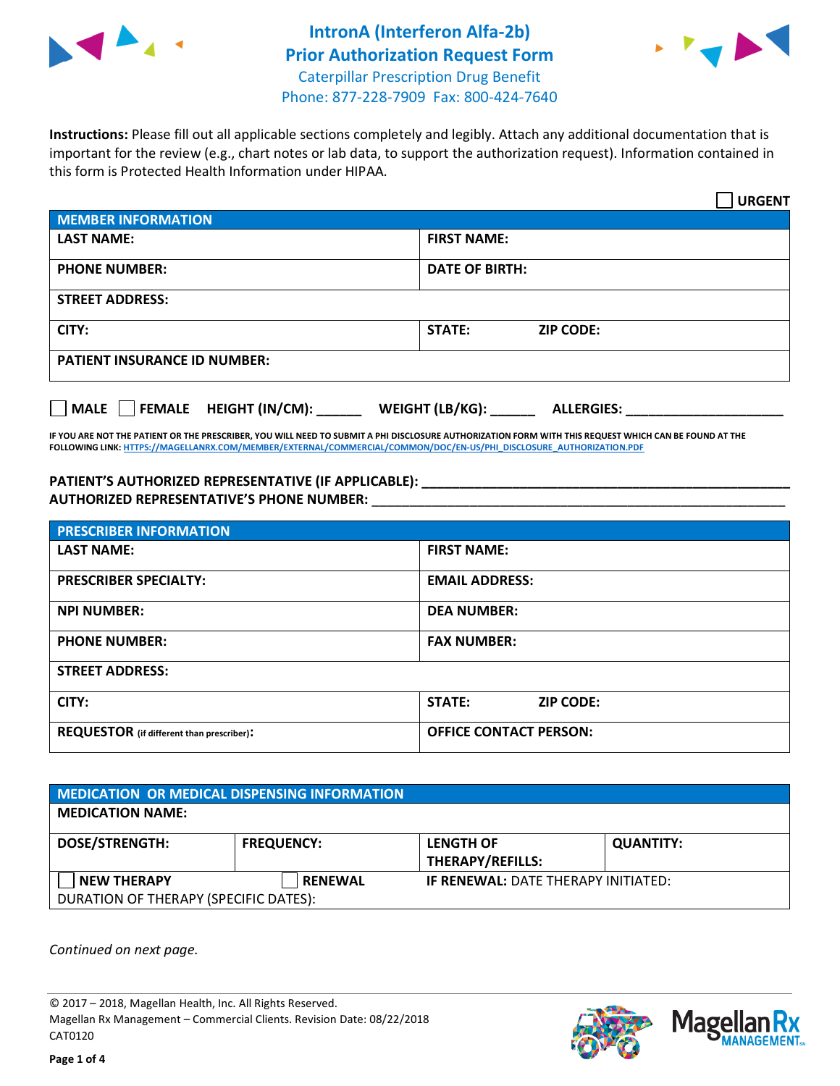



**Instructions:** Please fill out all applicable sections completely and legibly. Attach any additional documentation that is important for the review (e.g., chart notes or lab data, to support the authorization request). Information contained in this form is Protected Health Information under HIPAA.

|                                       | <b>URGENT</b>                        |  |  |  |
|---------------------------------------|--------------------------------------|--|--|--|
| <b>MEMBER INFORMATION</b>             |                                      |  |  |  |
| <b>LAST NAME:</b>                     | <b>FIRST NAME:</b>                   |  |  |  |
| <b>PHONE NUMBER:</b>                  | <b>DATE OF BIRTH:</b>                |  |  |  |
| <b>STREET ADDRESS:</b>                |                                      |  |  |  |
| CITY:                                 | <b>STATE:</b><br><b>ZIP CODE:</b>    |  |  |  |
| <b>PATIENT INSURANCE ID NUMBER:</b>   |                                      |  |  |  |
| FEMALE HEIGHT (IN/CM):<br><b>MALE</b> | WEIGHT (LB/KG):<br><b>ALLERGIES:</b> |  |  |  |

**IF YOU ARE NOT THE PATIENT OR THE PRESCRIBER, YOU WILL NEED TO SUBMIT A PHI DISCLOSURE AUTHORIZATION FORM WITH THIS REQUEST WHICH CAN BE FOUND AT THE FOLLOWING LINK[: HTTPS://MAGELLANRX.COM/MEMBER/EXTERNAL/COMMERCIAL/COMMON/DOC/EN-US/PHI\\_DISCLOSURE\\_AUTHORIZATION.PDF](https://magellanrx.com/member/external/commercial/common/doc/en-us/PHI_Disclosure_Authorization.pdf)**

**PATIENT'S AUTHORIZED REPRESENTATIVE (IF APPLICABLE): \_\_\_\_\_\_\_\_\_\_\_\_\_\_\_\_\_\_\_\_\_\_\_\_\_\_\_\_\_\_\_\_\_\_\_\_\_\_\_\_\_\_\_\_\_\_\_\_\_ AUTHORIZED REPRESENTATIVE'S PHONE NUMBER:** \_\_\_\_\_\_\_\_\_\_\_\_\_\_\_\_\_\_\_\_\_\_\_\_\_\_\_\_\_\_\_\_\_\_\_\_\_\_\_\_\_\_\_\_\_\_\_\_\_\_\_\_\_\_\_

| <b>PRESCRIBER INFORMATION</b>             |                               |  |  |  |
|-------------------------------------------|-------------------------------|--|--|--|
| <b>LAST NAME:</b>                         | <b>FIRST NAME:</b>            |  |  |  |
| <b>PRESCRIBER SPECIALTY:</b>              | <b>EMAIL ADDRESS:</b>         |  |  |  |
| <b>NPI NUMBER:</b>                        | <b>DEA NUMBER:</b>            |  |  |  |
| <b>PHONE NUMBER:</b>                      | <b>FAX NUMBER:</b>            |  |  |  |
| <b>STREET ADDRESS:</b>                    |                               |  |  |  |
| CITY:                                     | STATE:<br><b>ZIP CODE:</b>    |  |  |  |
| REQUESTOR (if different than prescriber): | <b>OFFICE CONTACT PERSON:</b> |  |  |  |

| <b>MEDICATION OR MEDICAL DISPENSING INFORMATION</b> |                   |                                            |                  |  |  |
|-----------------------------------------------------|-------------------|--------------------------------------------|------------------|--|--|
| <b>MEDICATION NAME:</b>                             |                   |                                            |                  |  |  |
| <b>DOSE/STRENGTH:</b>                               | <b>FREQUENCY:</b> | <b>LENGTH OF</b>                           | <b>QUANTITY:</b> |  |  |
|                                                     |                   | <b>THERAPY/REFILLS:</b>                    |                  |  |  |
| <b>NEW THERAPY</b>                                  | <b>RENEWAL</b>    | <b>IF RENEWAL: DATE THERAPY INITIATED:</b> |                  |  |  |
| DURATION OF THERAPY (SPECIFIC DATES):               |                   |                                            |                  |  |  |

*Continued on next page.*

© 2017 – 2018, Magellan Health, Inc. All Rights Reserved. Magellan Rx Management – Commercial Clients. Revision Date: 08/22/2018 CAT0120



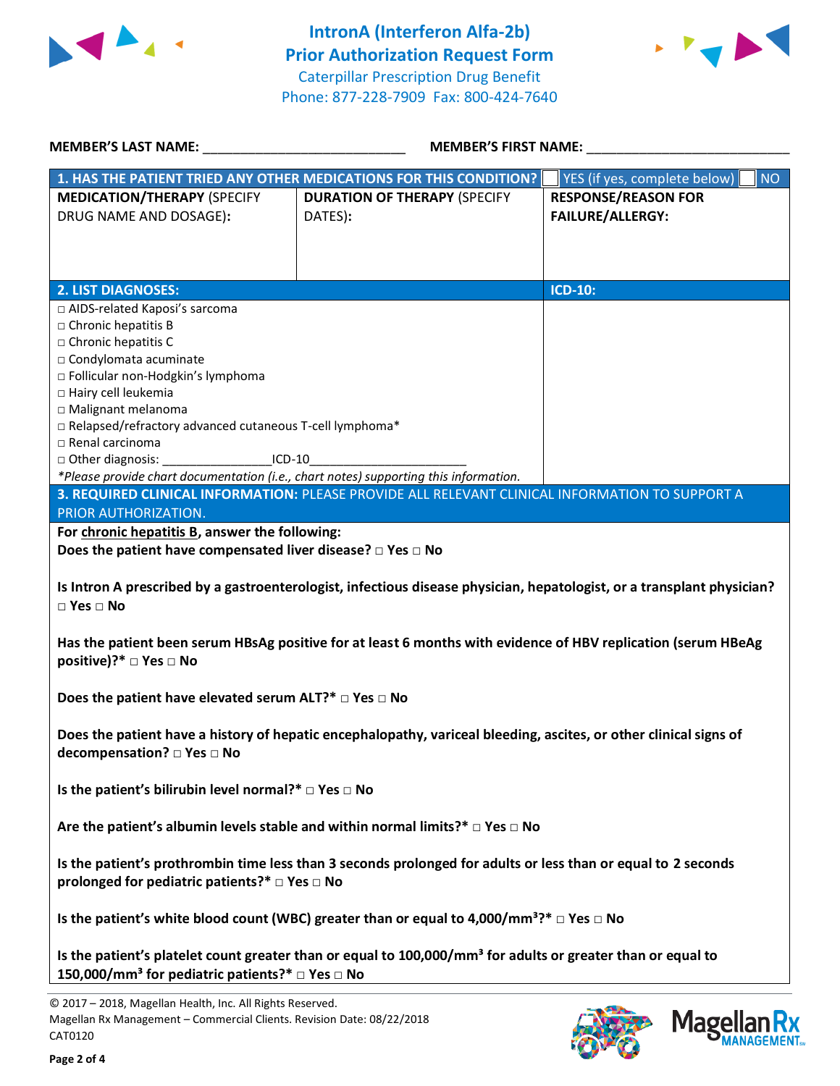



| <b>MEMBER'S LAST NAME:</b>                                                                                                                                                             | <b>MEMBER'S FIRST NAME:</b>                                                                     |                                           |  |  |  |
|----------------------------------------------------------------------------------------------------------------------------------------------------------------------------------------|-------------------------------------------------------------------------------------------------|-------------------------------------------|--|--|--|
|                                                                                                                                                                                        | 1. HAS THE PATIENT TRIED ANY OTHER MEDICATIONS FOR THIS CONDITION?                              | YES (if yes, complete below)<br><b>NO</b> |  |  |  |
| <b>MEDICATION/THERAPY (SPECIFY</b>                                                                                                                                                     | <b>DURATION OF THERAPY (SPECIFY</b>                                                             | <b>RESPONSE/REASON FOR</b>                |  |  |  |
| DRUG NAME AND DOSAGE):                                                                                                                                                                 | DATES):                                                                                         | <b>FAILURE/ALLERGY:</b>                   |  |  |  |
|                                                                                                                                                                                        |                                                                                                 |                                           |  |  |  |
|                                                                                                                                                                                        |                                                                                                 |                                           |  |  |  |
|                                                                                                                                                                                        |                                                                                                 |                                           |  |  |  |
| <b>2. LIST DIAGNOSES:</b>                                                                                                                                                              |                                                                                                 | <b>ICD-10:</b>                            |  |  |  |
| □ AIDS-related Kaposi's sarcoma                                                                                                                                                        |                                                                                                 |                                           |  |  |  |
| $\Box$ Chronic hepatitis B                                                                                                                                                             |                                                                                                 |                                           |  |  |  |
| □ Chronic hepatitis C                                                                                                                                                                  |                                                                                                 |                                           |  |  |  |
| □ Condylomata acuminate                                                                                                                                                                |                                                                                                 |                                           |  |  |  |
| □ Follicular non-Hodgkin's lymphoma                                                                                                                                                    |                                                                                                 |                                           |  |  |  |
| □ Hairy cell leukemia                                                                                                                                                                  |                                                                                                 |                                           |  |  |  |
| □ Malignant melanoma                                                                                                                                                                   |                                                                                                 |                                           |  |  |  |
| □ Relapsed/refractory advanced cutaneous T-cell lymphoma*                                                                                                                              |                                                                                                 |                                           |  |  |  |
| □ Renal carcinoma                                                                                                                                                                      |                                                                                                 |                                           |  |  |  |
| □ Other diagnosis: _<br>$ICD-10$<br>*Please provide chart documentation (i.e., chart notes) supporting this information.                                                               |                                                                                                 |                                           |  |  |  |
|                                                                                                                                                                                        | 3. REQUIRED CLINICAL INFORMATION: PLEASE PROVIDE ALL RELEVANT CLINICAL INFORMATION TO SUPPORT A |                                           |  |  |  |
| PRIOR AUTHORIZATION.                                                                                                                                                                   |                                                                                                 |                                           |  |  |  |
| For chronic hepatitis B, answer the following:                                                                                                                                         |                                                                                                 |                                           |  |  |  |
| Does the patient have compensated liver disease? $\Box$ Yes $\Box$ No                                                                                                                  |                                                                                                 |                                           |  |  |  |
|                                                                                                                                                                                        |                                                                                                 |                                           |  |  |  |
| Is Intron A prescribed by a gastroenterologist, infectious disease physician, hepatologist, or a transplant physician?<br>$\square$ Yes $\square$ No                                   |                                                                                                 |                                           |  |  |  |
| Has the patient been serum HBsAg positive for at least 6 months with evidence of HBV replication (serum HBeAg<br>positive)?* □ Yes □ No                                                |                                                                                                 |                                           |  |  |  |
| Does the patient have elevated serum ALT?* $\Box$ Yes $\Box$ No                                                                                                                        |                                                                                                 |                                           |  |  |  |
| Does the patient have a history of hepatic encephalopathy, variceal bleeding, ascites, or other clinical signs of<br>decompensation? □ Yes □ No                                        |                                                                                                 |                                           |  |  |  |
| Is the patient's bilirubin level normal?* $\Box$ Yes $\Box$ No                                                                                                                         |                                                                                                 |                                           |  |  |  |
| Are the patient's albumin levels stable and within normal limits?* $\Box$ Yes $\Box$ No                                                                                                |                                                                                                 |                                           |  |  |  |
| Is the patient's prothrombin time less than 3 seconds prolonged for adults or less than or equal to 2 seconds                                                                          |                                                                                                 |                                           |  |  |  |
| prolonged for pediatric patients?* $\Box$ Yes $\Box$ No                                                                                                                                |                                                                                                 |                                           |  |  |  |
| Is the patient's white blood count (WBC) greater than or equal to 4,000/mm <sup>3</sup> ?* $\Box$ Yes $\Box$ No                                                                        |                                                                                                 |                                           |  |  |  |
| Is the patient's platelet count greater than or equal to 100,000/mm <sup>3</sup> for adults or greater than or equal to<br>150,000/mm <sup>3</sup> for pediatric patients?* □ Yes □ No |                                                                                                 |                                           |  |  |  |
|                                                                                                                                                                                        |                                                                                                 |                                           |  |  |  |
| © 2017 - 2018, Magellan Health, Inc. All Rights Reserved.                                                                                                                              |                                                                                                 |                                           |  |  |  |

CAT0120

Magellan Rx Management – Commercial Clients. Revision Date: 08/22/2018



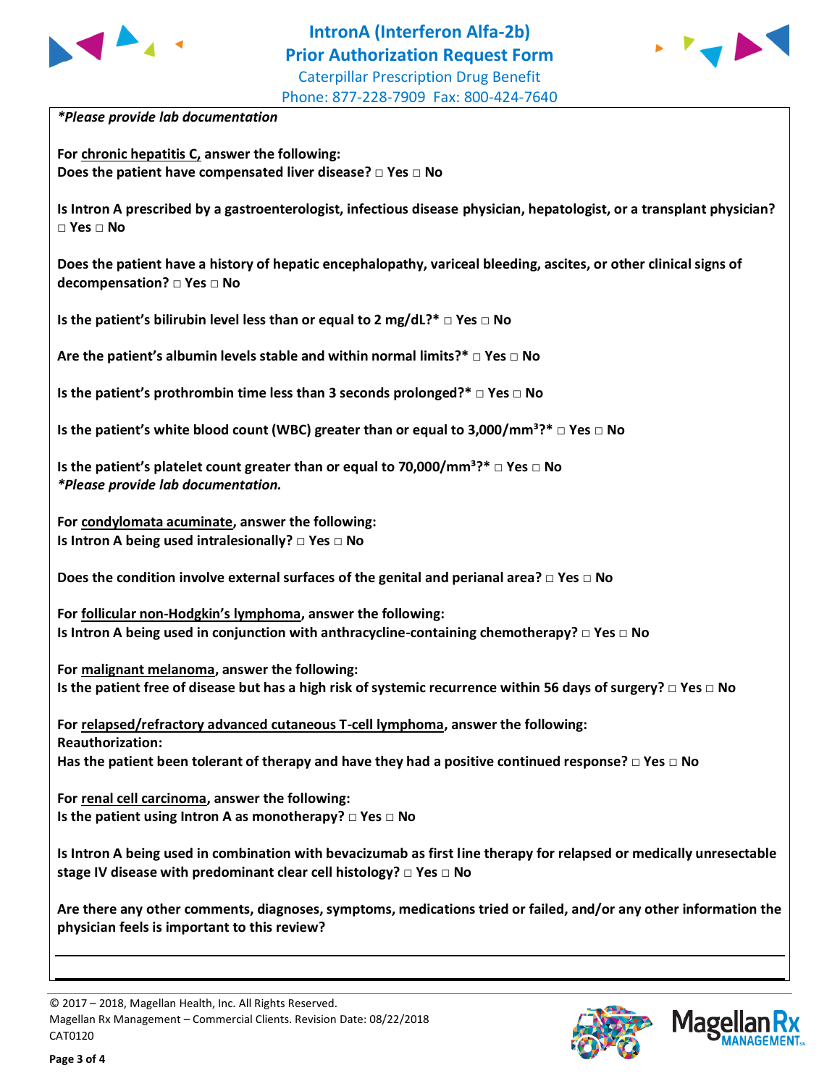



*\*Please provide lab documentation*

**For chronic hepatitis C, answer the following: Does the patient have compensated liver disease? □ Yes □ No**

**Is Intron A prescribed by a gastroenterologist, infectious disease physician, hepatologist, or a transplant physician? □ Yes □ No**

**Does the patient have a history of hepatic encephalopathy, variceal bleeding, ascites, or other clinical signs of decompensation? □ Yes □ No**

**Is the patient's bilirubin level less than or equal to 2 mg/dL?\* □ Yes □ No**

**Are the patient's albumin levels stable and within normal limits?\* □ Yes □ No**

**Is the patient's prothrombin time less than 3 seconds prolonged?\* □ Yes □ No**

**Is the patient's white blood count (WBC) greater than or equal to 3,000/mm<sup>3</sup>?\* □ Yes □ No** 

**Is the patient's platelet count greater than or equal to 70,000/mm³?\* □ Yes □ No** *\*Please provide lab documentation.*

**For condylomata acuminate, answer the following: Is Intron A being used intralesionally? □ Yes □ No**

**Does the condition involve external surfaces of the genital and perianal area? □ Yes □ No**

**For follicular non-Hodgkin's lymphoma, answer the following: Is Intron A being used in conjunction with anthracycline-containing chemotherapy? □ Yes □ No**

**For malignant melanoma, answer the following: Is the patient free of disease but has a high risk of systemic recurrence within 56 days of surgery? □ Yes □ No**

**For relapsed/refractory advanced cutaneous T-cell lymphoma, answer the following: Reauthorization: Has the patient been tolerant of therapy and have they had a positive continued response? □ Yes □ No**

**For renal cell carcinoma, answer the following: Is the patient using Intron A as monotherapy? □ Yes □ No**

**Is Intron A being used in combination with bevacizumab as first line therapy for relapsed or medically unresectable stage IV disease with predominant clear cell histology? □ Yes □ No**

**Are there any other comments, diagnoses, symptoms, medications tried or failed, and/or any other information the physician feels is important to this review?**